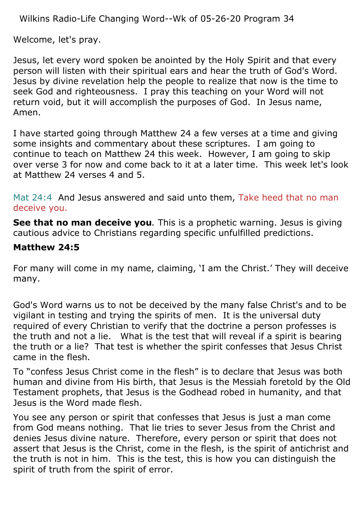Wilkins Radio-Life Changing Word--Wk of 05-26-20 Program 34

Welcome, let's pray.

Jesus, let every word spoken be anointed by the Holy Spirit and that every person will listen with their spiritual ears and hear the truth of God's Word. Jesus by divine revelation help the people to realize that now is the time to seek God and righteousness. I pray this teaching on your Word will not return void, but it will accomplish the purposes of God. In Jesus name, Amen.

I have started going through Matthew 24 a few verses at a time and giving some insights and commentary about these scriptures. I am going to continue to teach on Matthew 24 this week. However, I am going to skip over verse 3 for now and come back to it at a later time. This week let's look at Matthew 24 verses 4 and 5.

Mat 24:4 And Jesus answered and said unto them, Take heed that no man deceive you.

**See that no man deceive you**. This is a prophetic warning. Jesus is giving cautious advice to Christians regarding specific unfulfilled predictions.

## **Matthew 24:5**

For many will come in my name, claiming, 'I am the Christ.' They will deceive many.

God's Word warns us to not be deceived by the many false Christ's and to be vigilant in testing and trying the spirits of men. It is the universal duty required of every Christian to verify that the doctrine a person professes is the truth and not a lie. What is the test that will reveal if a spirit is bearing the truth or a lie? That test is whether the spirit confesses that Jesus Christ came in the flesh.

To "confess Jesus Christ come in the flesh" is to declare that Jesus was both human and divine from His birth, that Jesus is the Messiah foretold by the Old Testament prophets, that Jesus is the Godhead robed in humanity, and that Jesus is the Word made flesh.

You see any person or spirit that confesses that Jesus is just a man come from God means nothing. That lie tries to sever Jesus from the Christ and denies Jesus divine nature. Therefore, every person or spirit that does not assert that Jesus is the Christ, come in the flesh, is the spirit of antichrist and the truth is not in him. This is the test, this is how you can distinguish the spirit of truth from the spirit of error.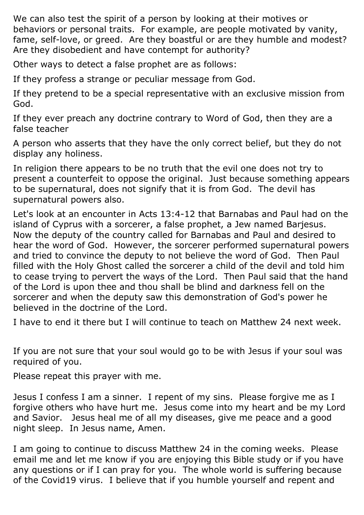We can also test the spirit of a person by looking at their motives or behaviors or personal traits. For example, are people motivated by vanity, fame, self-love, or greed. Are they boastful or are they humble and modest? Are they disobedient and have contempt for authority?

Other ways to detect a false prophet are as follows:

If they profess a strange or peculiar message from God.

If they pretend to be a special representative with an exclusive mission from God.

If they ever preach any doctrine contrary to Word of God, then they are a false teacher

A person who asserts that they have the only correct belief, but they do not display any holiness.

In religion there appears to be no truth that the evil one does not try to present a counterfeit to oppose the original. Just because something appears to be supernatural, does not signify that it is from God. The devil has supernatural powers also.

Let's look at an encounter in Acts 13:4-12 that Barnabas and Paul had on the island of Cyprus with a sorcerer, a false prophet, a Jew named Barjesus. Now the deputy of the country called for Barnabas and Paul and desired to hear the word of God. However, the sorcerer performed supernatural powers and tried to convince the deputy to not believe the word of God. Then Paul filled with the Holy Ghost called the sorcerer a child of the devil and told him to cease trying to pervert the ways of the Lord. Then Paul said that the hand of the Lord is upon thee and thou shall be blind and darkness fell on the sorcerer and when the deputy saw this demonstration of God's power he believed in the doctrine of the Lord.

I have to end it there but I will continue to teach on Matthew 24 next week.

If you are not sure that your soul would go to be with Jesus if your soul was required of you.

Please repeat this prayer with me.

Jesus I confess I am a sinner. I repent of my sins. Please forgive me as I forgive others who have hurt me. Jesus come into my heart and be my Lord and Savior. Jesus heal me of all my diseases, give me peace and a good night sleep. In Jesus name, Amen.

I am going to continue to discuss Matthew 24 in the coming weeks. Please email me and let me know if you are enjoying this Bible study or if you have any questions or if I can pray for you. The whole world is suffering because of the Covid19 virus. I believe that if you humble yourself and repent and